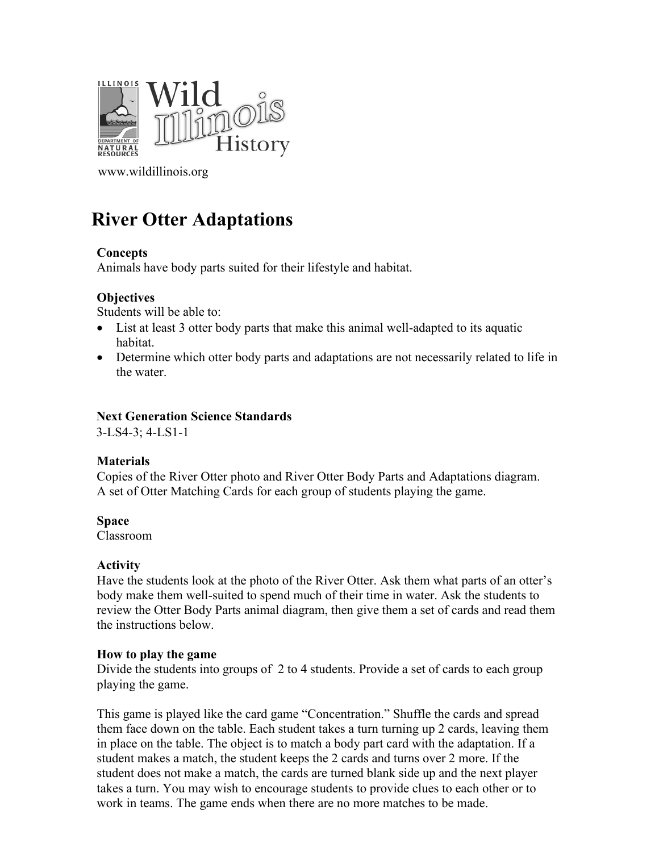

[www.wildillinois.org](http://www.wildillinois.org/)

# **River Otter Adaptations**

#### **Concepts**

Animals have body parts suited for their lifestyle and habitat.

### **Objectives**

Students will be able to:

- List at least 3 otter body parts that make this animal well-adapted to its aquatic habitat.
- Determine which otter body parts and adaptations are not necessarily related to life in the water.

#### **Next Generation Science Standards**

3-LS4-3; 4-LS1-1

### **Materials**

Copies of the River Otter photo and River Otter Body Parts and Adaptations diagram. A set of Otter Matching Cards for each group of students playing the game.

**Space**

Classroom

#### **Activity**

Have the students look at the photo of the River Otter. Ask them what parts of an otter's body make them well-suited to spend much of their time in water. Ask the students to review the Otter Body Parts animal diagram, then give them a set of cards and read them the instructions below.

#### **How to play the game**

Divide the students into groups of 2 to 4 students. Provide a set of cards to each group playing the game.

This game is played like the card game "Concentration." Shuffle the cards and spread them face down on the table. Each student takes a turn turning up 2 cards, leaving them in place on the table. The object is to match a body part card with the adaptation. If a student makes a match, the student keeps the 2 cards and turns over 2 more. If the student does not make a match, the cards are turned blank side up and the next player takes a turn. You may wish to encourage students to provide clues to each other or to work in teams. The game ends when there are no more matches to be made.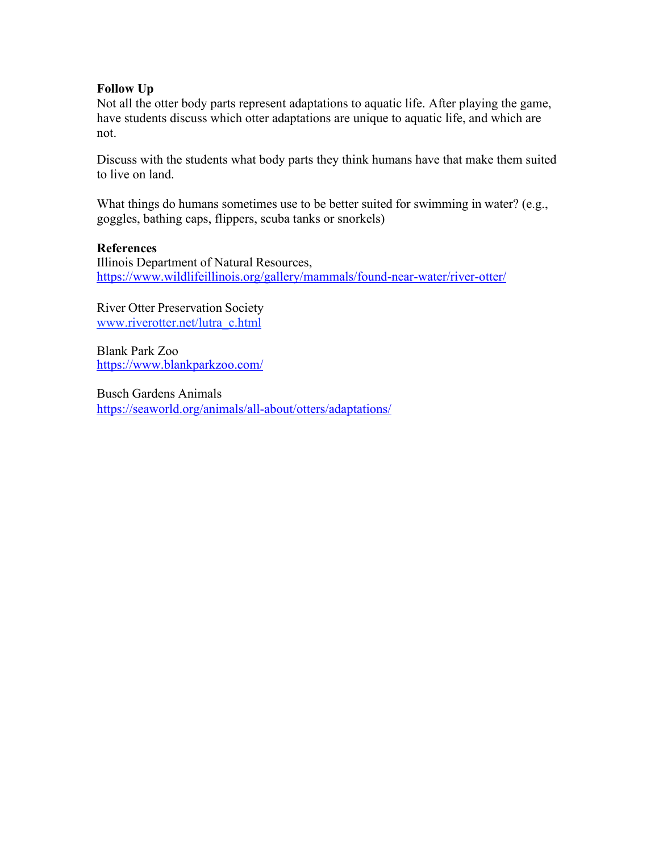# **Follow Up**

Not all the otter body parts represent adaptations to aquatic life. After playing the game, have students discuss which otter adaptations are unique to aquatic life, and which are not.

Discuss with the students what body parts they think humans have that make them suited to live on land.

What things do humans sometimes use to be better suited for swimming in water? (e.g., goggles, bathing caps, flippers, scuba tanks or snorkels)

#### **References**

Illinois Department of Natural Resources, <https://www.wildlifeillinois.org/gallery/mammals/found-near-water/river-otter/>

River Otter Preservation Society [www.riverotter.net/lutra\\_c.html](http://www.riverotter.net/lutra_c.html)

Blank Park Zoo <https://www.blankparkzoo.com/>

Busch Gardens Animals <https://seaworld.org/animals/all-about/otters/adaptations/>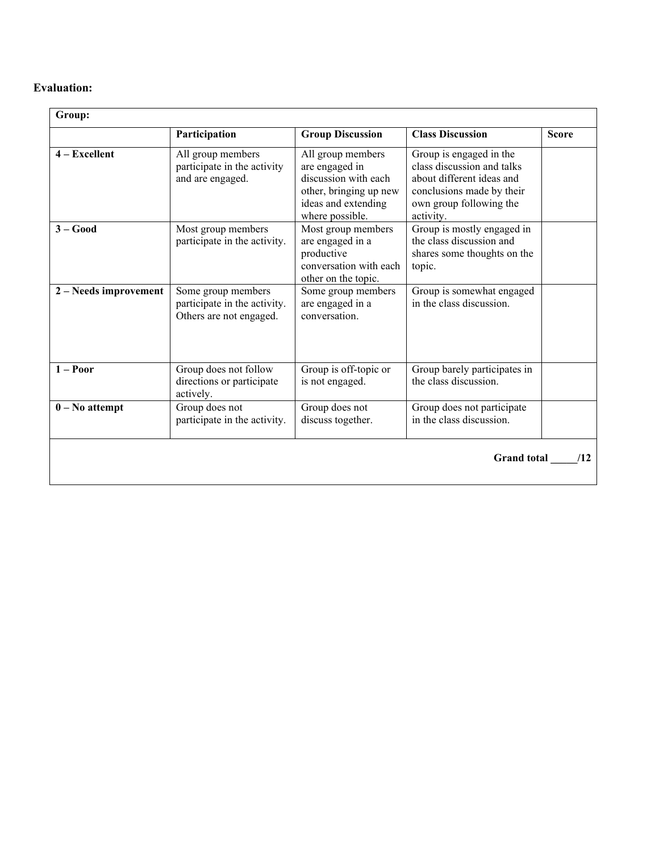# **Evaluation:**

|                       | Participation                                                                 | <b>Group Discussion</b>                                                                                                         | <b>Class Discussion</b>                                                                                                                                 | <b>Score</b> |
|-----------------------|-------------------------------------------------------------------------------|---------------------------------------------------------------------------------------------------------------------------------|---------------------------------------------------------------------------------------------------------------------------------------------------------|--------------|
| $4 - Excellent$       | All group members<br>participate in the activity<br>and are engaged.          | All group members<br>are engaged in<br>discussion with each<br>other, bringing up new<br>ideas and extending<br>where possible. | Group is engaged in the<br>class discussion and talks<br>about different ideas and<br>conclusions made by their<br>own group following the<br>activity. |              |
| $3 - Good$            | Most group members<br>participate in the activity.                            | Most group members<br>are engaged in a<br>productive<br>conversation with each<br>other on the topic.                           | Group is mostly engaged in<br>the class discussion and<br>shares some thoughts on the<br>topic.                                                         |              |
| 2 – Needs improvement | Some group members<br>participate in the activity.<br>Others are not engaged. | Some group members<br>are engaged in a<br>conversation.                                                                         | Group is somewhat engaged<br>in the class discussion.                                                                                                   |              |
| $1 -$ Poor            | Group does not follow<br>directions or participate<br>actively.               | Group is off-topic or<br>is not engaged.                                                                                        | Group barely participates in<br>the class discussion.                                                                                                   |              |
| $0 - No$ attempt      | Group does not<br>participate in the activity.                                | Group does not<br>discuss together.                                                                                             | Group does not participate<br>in the class discussion.                                                                                                  |              |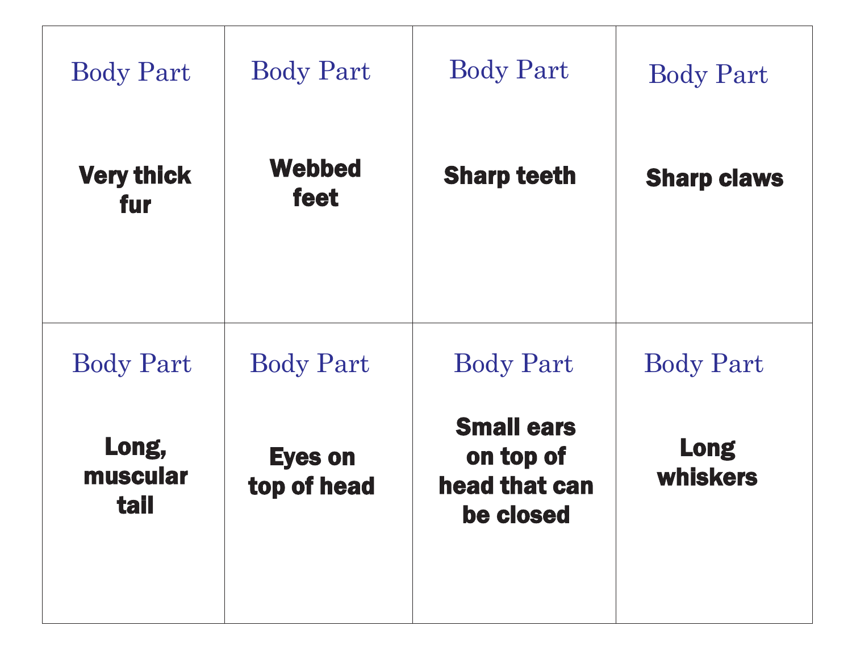| <b>Body Part</b>                 | <b>Body Part</b>              | <b>Body Part</b>                                             | <b>Body Part</b>        |
|----------------------------------|-------------------------------|--------------------------------------------------------------|-------------------------|
| <b>Very thick</b><br>fur         | <b>Webbed</b><br>feet         | <b>Sharp teeth</b>                                           | <b>Sharp claws</b>      |
| <b>Body Part</b>                 | <b>Body Part</b>              | <b>Body Part</b>                                             | <b>Body Part</b>        |
| Long,<br>muscular<br><b>tail</b> | <b>Eyes on</b><br>top of head | <b>Small ears</b><br>on top of<br>head that can<br>be closed | <b>Long</b><br>whiskers |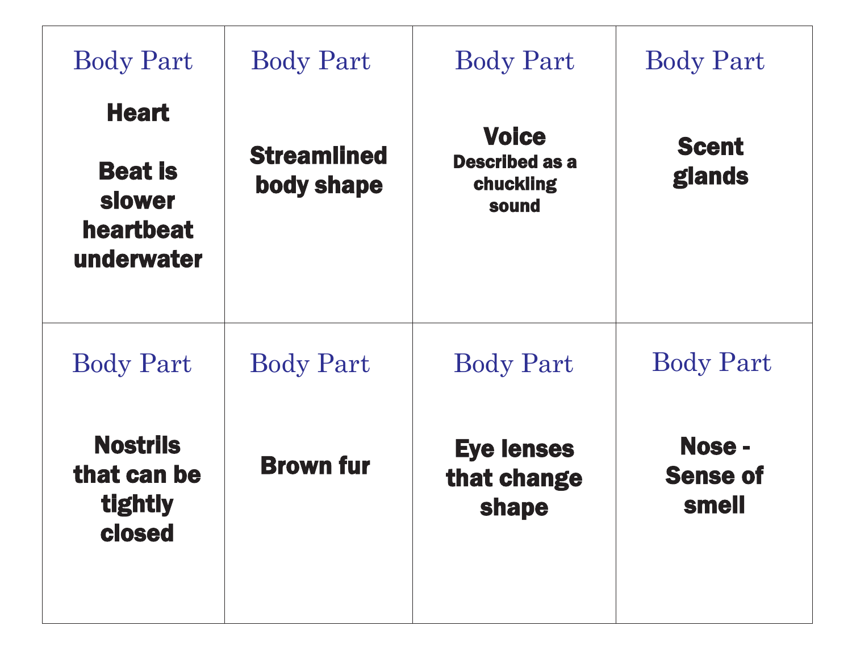| <b>Body Part</b>                                                    | <b>Body Part</b>                 | <b>Body Part</b>                                            | <b>Body Part</b>                          |
|---------------------------------------------------------------------|----------------------------------|-------------------------------------------------------------|-------------------------------------------|
| <b>Heart</b><br><b>Beat is</b><br>slower<br>heartbeat<br>underwater | <b>Streamlined</b><br>body shape | <b>Voice</b><br><b>Described as a</b><br>chuckling<br>sound | <b>Scent</b><br>glands                    |
| <b>Body Part</b>                                                    | <b>Body Part</b>                 | <b>Body Part</b>                                            | <b>Body Part</b>                          |
| <b>Nostrils</b><br>that can be<br>tightly<br>closed                 | <b>Brown fur</b>                 | <b>Eye lenses</b><br>that change<br>shape                   | Nose -<br><b>Sense of</b><br><b>smell</b> |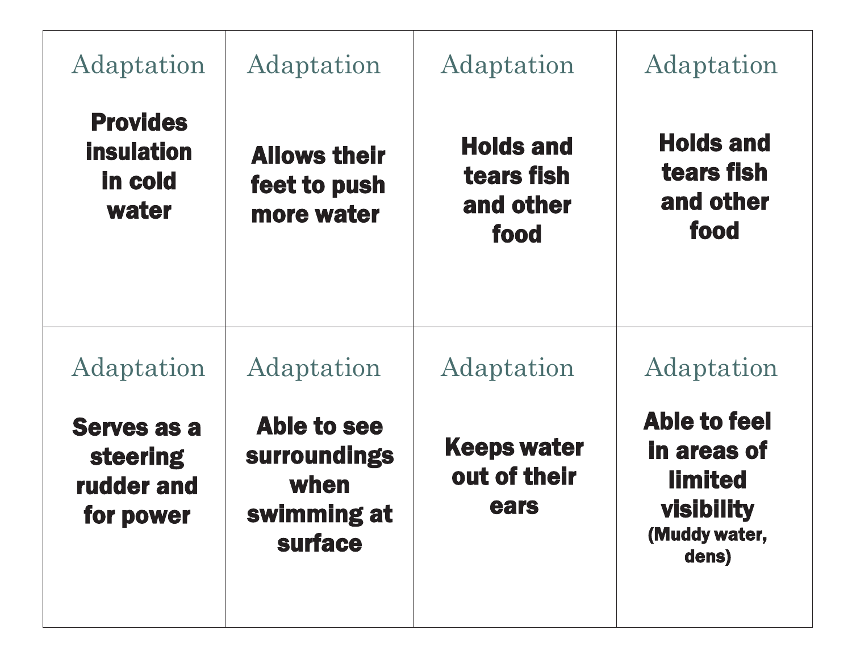| Adaptation                                                              | Adaptation                                                           | Adaptation                                          | Adaptation                                                                                          |
|-------------------------------------------------------------------------|----------------------------------------------------------------------|-----------------------------------------------------|-----------------------------------------------------------------------------------------------------|
| <b>Provides</b><br><b>insulation</b><br><b>in cold</b><br>water         | <b>Allows their</b><br>feet to push<br>more water                    | <b>Holds and</b><br>tears fish<br>and other<br>food | <b>Holds and</b><br>tears fish<br>and other<br>food                                                 |
| Adaptation                                                              | Adaptation                                                           | Adaptation                                          | Adaptation                                                                                          |
| <b>Serves as a</b><br><b>steering</b><br><b>rudder and</b><br>for power | Able to see<br><b>surroundings</b><br>when<br>swimming at<br>surface | <b>Keeps water</b><br>out of their<br>ears          | Able to feel<br><b>in areas of</b><br><b>limited</b><br><b>visibility</b><br>(Muddy water,<br>dens) |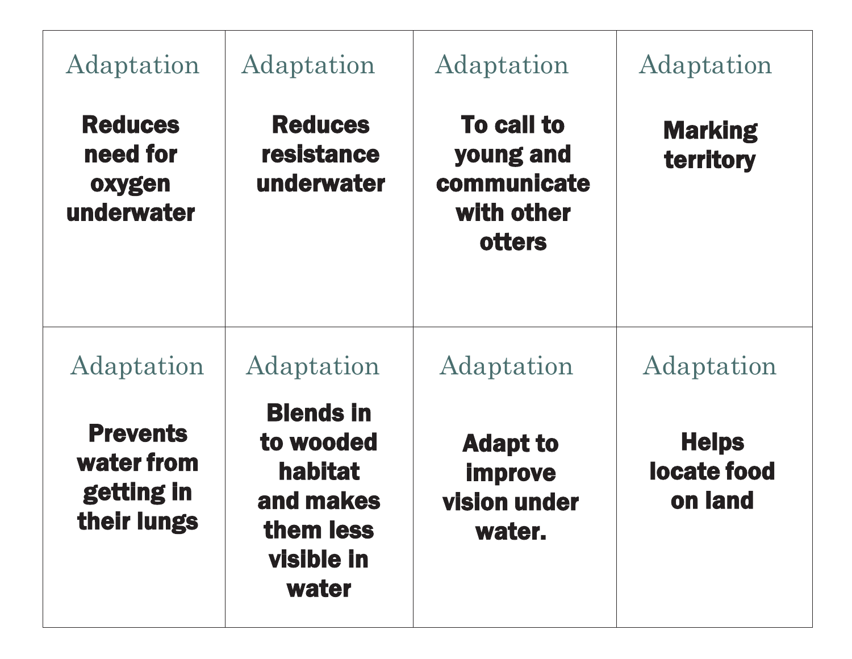| Adaptation                                                 | Adaptation                                                                                       | Adaptation                                                            | Adaptation                             |
|------------------------------------------------------------|--------------------------------------------------------------------------------------------------|-----------------------------------------------------------------------|----------------------------------------|
| <b>Reduces</b><br>need for<br>oxygen<br>underwater         | <b>Reduces</b><br>resistance<br>underwater                                                       | <b>To call to</b><br>young and<br>communicate<br>with other<br>otters | <b>Marking</b><br>territory            |
| Adaptation                                                 | Adaptation                                                                                       | Adaptation                                                            | Adaptation                             |
| <b>Prevents</b><br>water from<br>getting in<br>their lungs | <b>Blends in</b><br>to wooded<br><b>habitat</b><br>and makes<br>them less<br>visible in<br>water | <b>Adapt to</b><br><b>improve</b><br><b>vision under</b><br>water.    | <b>Helps</b><br>locate food<br>on land |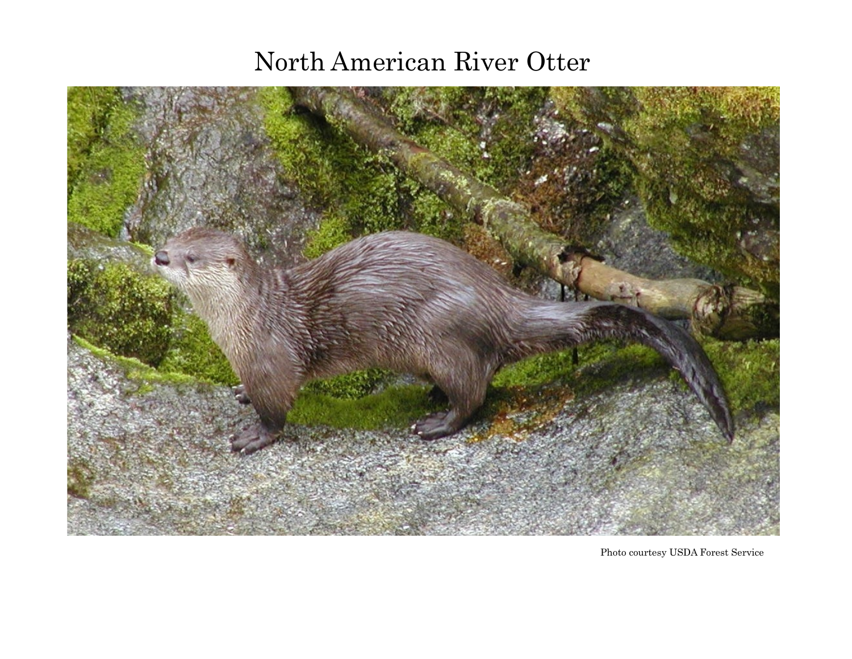# North American River Otter



Photo courtesy USDA Forest Service